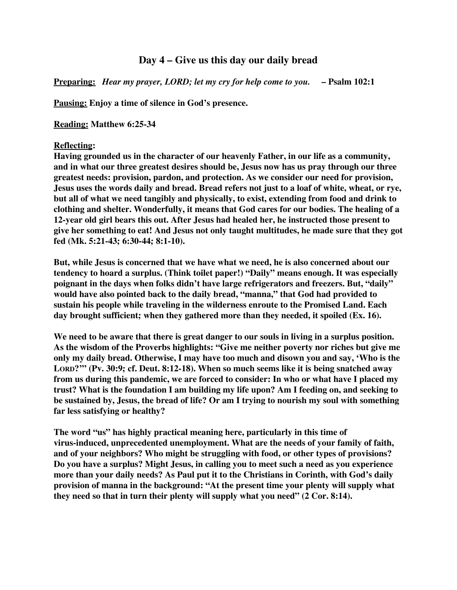## **Day 4 – Give us this day our daily bread**

**Preparing:** *Hear my prayer, LORD; let my cry for help come to you.* **– Psalm 102:1**

**Pausing: Enjoy a time of silence in God's presence.**

**Reading: Matthew 6:25-34**

## **Reflecting:**

**Having grounded us in the character of our heavenly Father, in our life as a community, and in what our three greatest desires should be, Jesus now has us pray through our three greatest needs: provision, pardon, and protection. As we consider our need for provision, Jesus uses the words daily and bread. Bread refers not just to a loaf of white, wheat, or rye, but all of what we need tangibly and physically, to exist, extending from food and drink to clothing and shelter. Wonderfully, it means that God cares for our bodies. The healing of a 12-year old girl bears this out. After Jesus had healed her, he instructed those present to give her something to eat! And Jesus not only taught multitudes, he made sure that they got fed (Mk. 5:21-43; 6:30-44; 8:1-10).**

**But, while Jesus is concerned that we have what we need, he is also concerned about our tendency to hoard a surplus. (Think toilet paper!) "Daily" means enough. It was especially poignant in the days when folks didn't have large refrigerators and freezers. But, "daily" would have also pointed back to the daily bread, "manna," that God had provided to sustain his people while traveling in the wilderness enroute to the Promised Land. Each day brought sufficient; when they gathered more than they needed, it spoiled (Ex. 16).**

**We need to be aware that there is great danger to our souls in living in a surplus position. As the wisdom of the Proverbs highlights: "Give me neither poverty nor riches but give me only my daily bread. Otherwise, I may have too much and disown you and say, 'Who is the LORD?'" (Pv. 30:9; cf. Deut. 8:12-18). When so much seems like it is being snatched away from us during this pandemic, we are forced to consider: In who or what have I placed my trust? What is the foundation I am building my life upon? Am I feeding on, and seeking to be sustained by, Jesus, the bread of life? Or am I trying to nourish my soul with something far less satisfying or healthy?**

**The word "us" has highly practical meaning here, particularly in this time of virus-induced, unprecedented unemployment. What are the needs of your family of faith, and of your neighbors? Who might be struggling with food, or other types of provisions? Do you have a surplus? Might Jesus, in calling you to meet such a need as you experience more than your daily needs? As Paul put it to the Christians in Corinth, with God's daily provision of manna in the background: "At the present time your plenty will supply what they need so that in turn their plenty will supply what you need" (2 Cor. 8:14).**